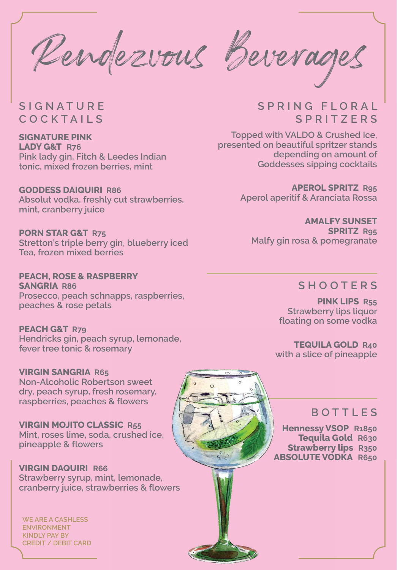Rendezvous Beverages

**SIGNATURE COCKTAILS**

**SIGNATURE PINK LADY G&T R76 Pink lady gin, Fitch & Leedes Indian tonic, mixed frozen berries, mint** 

**GODDESS DAIQUIRI R86 Absolut vodka, freshly cut strawberries, mint, cranberry juice**

**PORN STAR G&T R75 Stretton's triple berry gin, blueberry iced Tea, frozen mixed berries** 

**PEACH, ROSE & RASPBERRY SANGRIA R86 Prosecco, peach schnapps, raspberries, peaches & rose petals**

**PEACH G&T R79 Hendricks gin, peach syrup, lemonade, fever tree tonic & rosemary**

**VIRGIN SANGRIA R65 Non-Alcoholic Robertson sweet dry, peach syrup, fresh rosemary, raspberries, peaches & flowers**

**VIRGIN MOJITO CLASSIC R55 Mint, roses lime, soda, crushed ice, pineapple & flowers**

**VIRGIN DAQUIRI R66 Strawberry syrup, mint, lemonade, cranberry juice, strawberries & flowers**

**WE ARE A CASHLESS ENVIRONMENT KINDLY PAY BY CREDIT / DEBIT CARD**

## **S P R I N G F L O R A L SPRITZERS**

**Topped with VALDO & Crushed Ice, presented on beautiful spritzer stands depending on amount of Goddesses sipping cocktails**

> **APEROL SPRITZ R95 Aperol aperitif & Aranciata Rossa**

**AMALFY SUNSET SPRITZ R95 Malfy gin rosa & pomegranate**

## **SHOOTERS**

**PINK LIPS R55 Strawberry lips liquor floating on some vodka**

**TEQUILA GOLD R40 with a slice of pineapple**



## **BOTTLES**

**Hennessy VSOP R1850 Tequila Gold R630 Strawberry lips R350 ABSOLUTE VODKA R650**